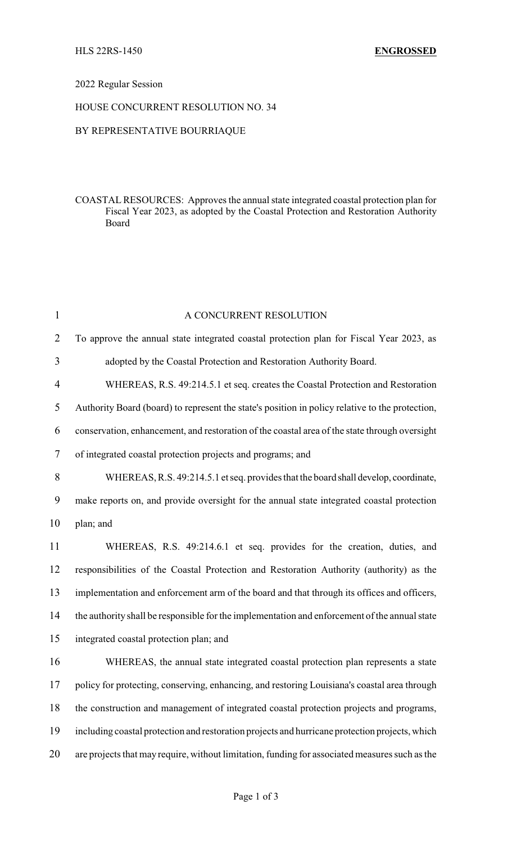#### 2022 Regular Session

# HOUSE CONCURRENT RESOLUTION NO. 34

# BY REPRESENTATIVE BOURRIAQUE

### COASTAL RESOURCES: Approves the annual state integrated coastal protection plan for Fiscal Year 2023, as adopted by the Coastal Protection and Restoration Authority Board

| $\mathbf{1}$   | A CONCURRENT RESOLUTION                                                                         |
|----------------|-------------------------------------------------------------------------------------------------|
| $\overline{2}$ | To approve the annual state integrated coastal protection plan for Fiscal Year 2023, as         |
| 3              | adopted by the Coastal Protection and Restoration Authority Board.                              |
| 4              | WHEREAS, R.S. 49:214.5.1 et seq. creates the Coastal Protection and Restoration                 |
| 5              | Authority Board (board) to represent the state's position in policy relative to the protection, |
| 6              | conservation, enhancement, and restoration of the coastal area of the state through oversight   |
| 7              | of integrated coastal protection projects and programs; and                                     |
| 8              | WHEREAS, R.S. 49:214.5.1 et seq. provides that the board shall develop, coordinate,             |
| 9              | make reports on, and provide oversight for the annual state integrated coastal protection       |
| 10             | plan; and                                                                                       |
| 11             | WHEREAS, R.S. 49:214.6.1 et seq. provides for the creation, duties, and                         |
| 12             | responsibilities of the Coastal Protection and Restoration Authority (authority) as the         |
| 13             | implementation and enforcement arm of the board and that through its offices and officers,      |
| 14             | the authority shall be responsible for the implementation and enforcement of the annual state   |
| 15             | integrated coastal protection plan; and                                                         |
| 16             | WHEREAS, the annual state integrated coastal protection plan represents a state                 |
| 17             | policy for protecting, conserving, enhancing, and restoring Louisiana's coastal area through    |
| 18             | the construction and management of integrated coastal protection projects and programs,         |
| 19             | including coastal protection and restoration projects and hurricane protection projects, which  |
| 20             | are projects that may require, without limitation, funding for associated measures such as the  |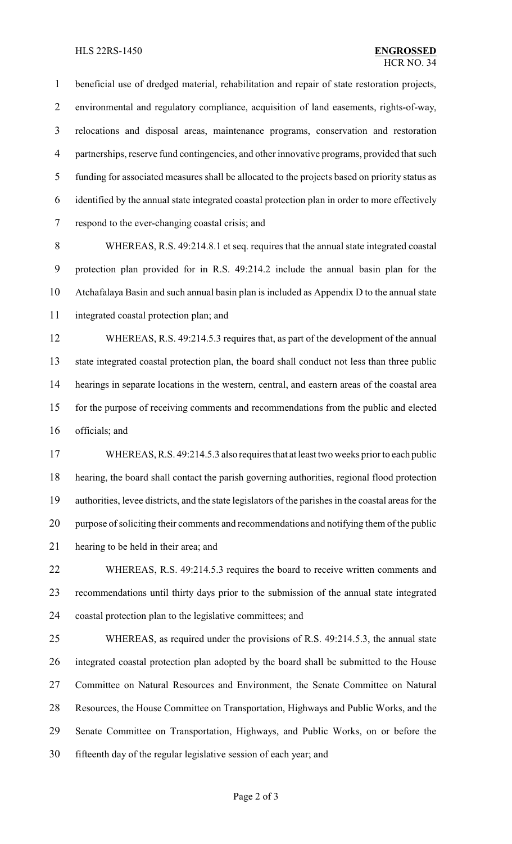#### HLS 22RS-1450 **ENGROSSED**

 beneficial use of dredged material, rehabilitation and repair of state restoration projects, environmental and regulatory compliance, acquisition of land easements, rights-of-way, relocations and disposal areas, maintenance programs, conservation and restoration partnerships, reserve fund contingencies, and other innovative programs, provided that such funding for associated measures shall be allocated to the projects based on priority status as identified by the annual state integrated coastal protection plan in order to more effectively respond to the ever-changing coastal crisis; and

 WHEREAS, R.S. 49:214.8.1 et seq. requires that the annual state integrated coastal protection plan provided for in R.S. 49:214.2 include the annual basin plan for the Atchafalaya Basin and such annual basin plan is included as Appendix D to the annual state integrated coastal protection plan; and

 WHEREAS, R.S. 49:214.5.3 requires that, as part of the development of the annual state integrated coastal protection plan, the board shall conduct not less than three public hearings in separate locations in the western, central, and eastern areas of the coastal area for the purpose of receiving comments and recommendations from the public and elected officials; and

 WHEREAS, R.S. 49:214.5.3 also requires that at least two weeks prior to each public hearing, the board shall contact the parish governing authorities, regional flood protection authorities, levee districts, and the state legislators of the parishes in the coastal areas for the purpose of soliciting their comments and recommendations and notifying them of the public hearing to be held in their area; and

 WHEREAS, R.S. 49:214.5.3 requires the board to receive written comments and recommendations until thirty days prior to the submission of the annual state integrated coastal protection plan to the legislative committees; and

 WHEREAS, as required under the provisions of R.S. 49:214.5.3, the annual state integrated coastal protection plan adopted by the board shall be submitted to the House Committee on Natural Resources and Environment, the Senate Committee on Natural Resources, the House Committee on Transportation, Highways and Public Works, and the Senate Committee on Transportation, Highways, and Public Works, on or before the fifteenth day of the regular legislative session of each year; and